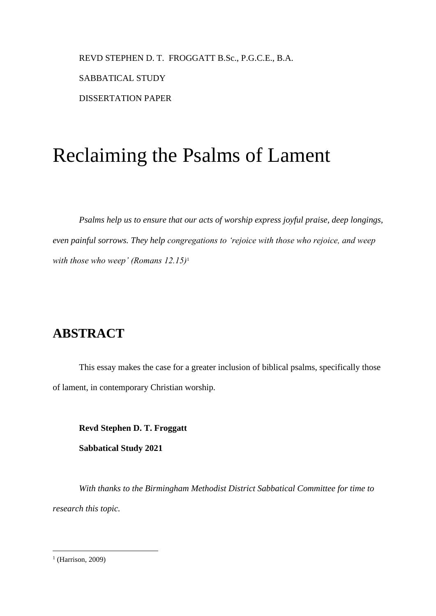REVD STEPHEN D. T. FROGGATT B.Sc., P.G.C.E., B.A. SABBATICAL STUDY DISSERTATION PAPER

# Reclaiming the Psalms of Lament

*Psalms help us to ensure that our acts of worship express joyful praise, deep longings, even painful sorrows. They help congregations to 'rejoice with those who rejoice, and weep with those who weep' (Romans 12.15)*<sup>1</sup>

### **ABSTRACT**

This essay makes the case for a greater inclusion of biblical psalms, specifically those of lament, in contemporary Christian worship.

**Revd Stephen D. T. Froggatt**

**Sabbatical Study 2021**

*With thanks to the Birmingham Methodist District Sabbatical Committee for time to research this topic.*

<sup>&</sup>lt;sup>1</sup> (Harrison, 2009)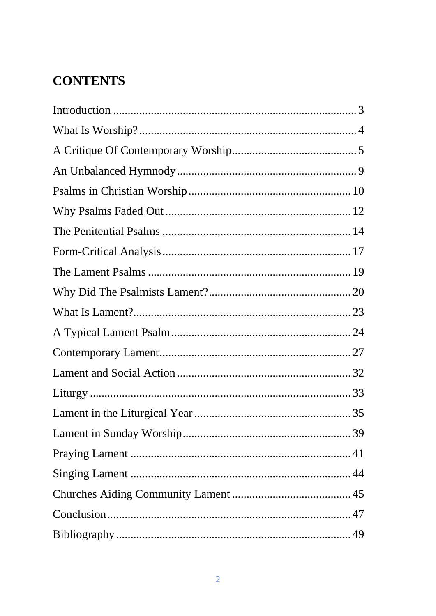## **CONTENTS**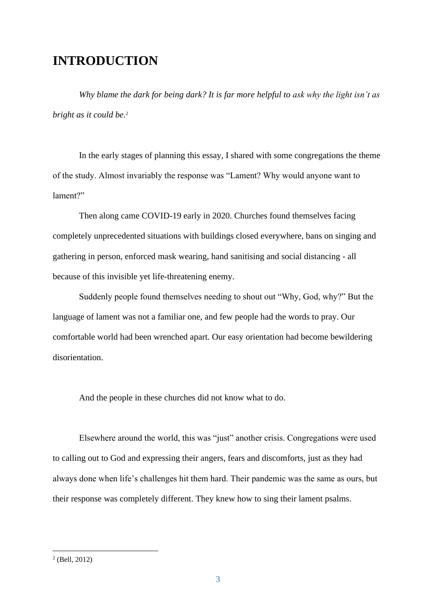### **INTRODUCTION**

*Why blame the dark for being dark? It is far more helpful to ask why the light isn't as bright as it could be.*<sup>2</sup>

In the early stages of planning this essay, I shared with some congregations the theme of the study. Almost invariably the response was "Lament? Why would anyone want to lament?"

Then along came COVID-19 early in 2020. Churches found themselves facing completely unprecedented situations with buildings closed everywhere, bans on singing and gathering in person, enforced mask wearing, hand sanitising and social distancing - all because of this invisible yet life-threatening enemy.

Suddenly people found themselves needing to shout out "Why, God, why?" But the language of lament was not a familiar one, and few people had the words to pray. Our comfortable world had been wrenched apart. Our easy orientation had become bewildering disorientation.

And the people in these churches did not know what to do.

Elsewhere around the world, this was "just" another crisis. Congregations were used to calling out to God and expressing their angers, fears and discomforts, just as they had always done when life's challenges hit them hard. Their pandemic was the same as ours, but their response was completely different. They knew how to sing their lament psalms.

<sup>2</sup> (Bell, 2012)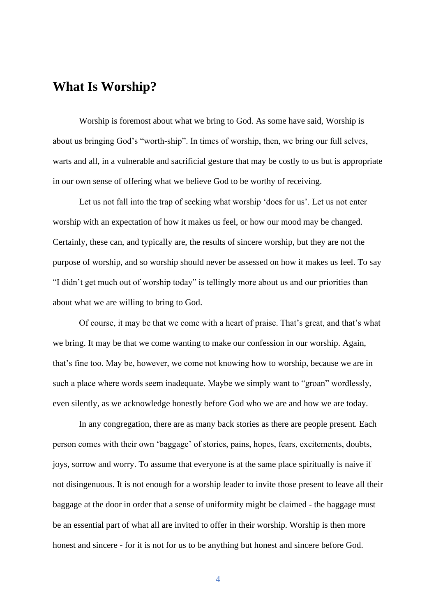### **What Is Worship?**

Worship is foremost about what we bring to God. As some have said, Worship is about us bringing God's "worth-ship". In times of worship, then, we bring our full selves, warts and all, in a vulnerable and sacrificial gesture that may be costly to us but is appropriate in our own sense of offering what we believe God to be worthy of receiving.

Let us not fall into the trap of seeking what worship 'does for us'. Let us not enter worship with an expectation of how it makes us feel, or how our mood may be changed. Certainly, these can, and typically are, the results of sincere worship, but they are not the purpose of worship, and so worship should never be assessed on how it makes us feel. To say "I didn't get much out of worship today" is tellingly more about us and our priorities than about what we are willing to bring to God.

Of course, it may be that we come with a heart of praise. That's great, and that's what we bring. It may be that we come wanting to make our confession in our worship. Again, that's fine too. May be, however, we come not knowing how to worship, because we are in such a place where words seem inadequate. Maybe we simply want to "groan" wordlessly, even silently, as we acknowledge honestly before God who we are and how we are today.

In any congregation, there are as many back stories as there are people present. Each person comes with their own 'baggage' of stories, pains, hopes, fears, excitements, doubts, joys, sorrow and worry. To assume that everyone is at the same place spiritually is naive if not disingenuous. It is not enough for a worship leader to invite those present to leave all their baggage at the door in order that a sense of uniformity might be claimed - the baggage must be an essential part of what all are invited to offer in their worship. Worship is then more honest and sincere - for it is not for us to be anything but honest and sincere before God.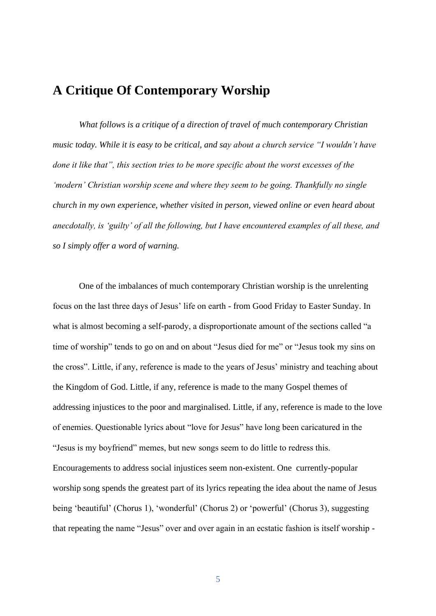### **A Critique Of Contemporary Worship**

*What follows is a critique of a direction of travel of much contemporary Christian music today. While it is easy to be critical, and say about a church service "I wouldn't have done it like that", this section tries to be more specific about the worst excesses of the 'modern' Christian worship scene and where they seem to be going. Thankfully no single church in my own experience, whether visited in person, viewed online or even heard about anecdotally, is 'guilty' of all the following, but I have encountered examples of all these, and so I simply offer a word of warning.*

One of the imbalances of much contemporary Christian worship is the unrelenting focus on the last three days of Jesus' life on earth - from Good Friday to Easter Sunday. In what is almost becoming a self-parody, a disproportionate amount of the sections called "a time of worship" tends to go on and on about "Jesus died for me" or "Jesus took my sins on the cross". Little, if any, reference is made to the years of Jesus' ministry and teaching about the Kingdom of God. Little, if any, reference is made to the many Gospel themes of addressing injustices to the poor and marginalised. Little, if any, reference is made to the love of enemies. Questionable lyrics about "love for Jesus" have long been caricatured in the "Jesus is my boyfriend" memes, but new songs seem to do little to redress this. Encouragements to address social injustices seem non-existent. One currently-popular worship song spends the greatest part of its lyrics repeating the idea about the name of Jesus being 'beautiful' (Chorus 1), 'wonderful' (Chorus 2) or 'powerful' (Chorus 3), suggesting that repeating the name "Jesus" over and over again in an ecstatic fashion is itself worship -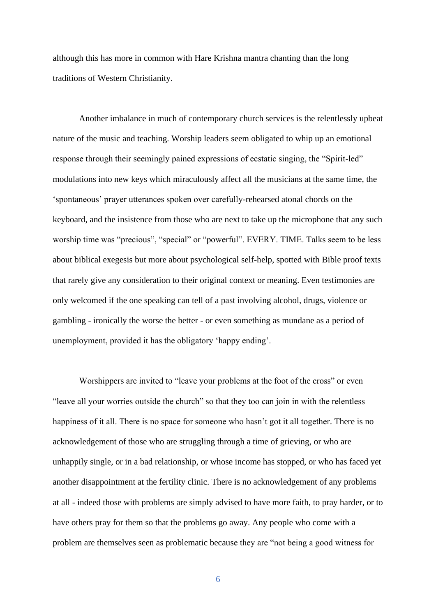although this has more in common with Hare Krishna mantra chanting than the long traditions of Western Christianity.

Another imbalance in much of contemporary church services is the relentlessly upbeat nature of the music and teaching. Worship leaders seem obligated to whip up an emotional response through their seemingly pained expressions of ecstatic singing, the "Spirit-led" modulations into new keys which miraculously affect all the musicians at the same time, the 'spontaneous' prayer utterances spoken over carefully-rehearsed atonal chords on the keyboard, and the insistence from those who are next to take up the microphone that any such worship time was "precious", "special" or "powerful". EVERY. TIME. Talks seem to be less about biblical exegesis but more about psychological self-help, spotted with Bible proof texts that rarely give any consideration to their original context or meaning. Even testimonies are only welcomed if the one speaking can tell of a past involving alcohol, drugs, violence or gambling - ironically the worse the better - or even something as mundane as a period of unemployment, provided it has the obligatory 'happy ending'.

Worshippers are invited to "leave your problems at the foot of the cross" or even "leave all your worries outside the church" so that they too can join in with the relentless happiness of it all. There is no space for someone who hasn't got it all together. There is no acknowledgement of those who are struggling through a time of grieving, or who are unhappily single, or in a bad relationship, or whose income has stopped, or who has faced yet another disappointment at the fertility clinic. There is no acknowledgement of any problems at all - indeed those with problems are simply advised to have more faith, to pray harder, or to have others pray for them so that the problems go away. Any people who come with a problem are themselves seen as problematic because they are "not being a good witness for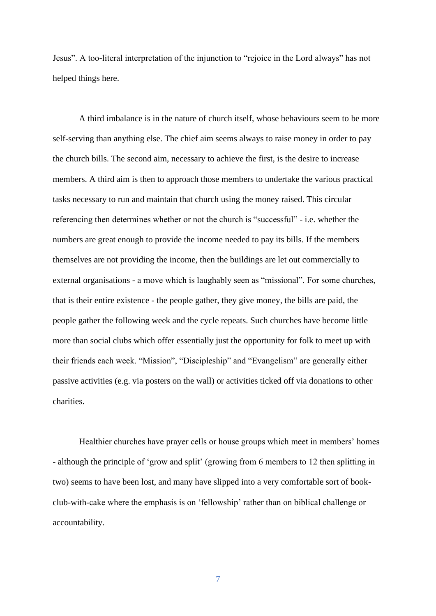Jesus". A too-literal interpretation of the injunction to "rejoice in the Lord always" has not helped things here.

A third imbalance is in the nature of church itself, whose behaviours seem to be more self-serving than anything else. The chief aim seems always to raise money in order to pay the church bills. The second aim, necessary to achieve the first, is the desire to increase members. A third aim is then to approach those members to undertake the various practical tasks necessary to run and maintain that church using the money raised. This circular referencing then determines whether or not the church is "successful" - i.e. whether the numbers are great enough to provide the income needed to pay its bills. If the members themselves are not providing the income, then the buildings are let out commercially to external organisations - a move which is laughably seen as "missional". For some churches, that is their entire existence - the people gather, they give money, the bills are paid, the people gather the following week and the cycle repeats. Such churches have become little more than social clubs which offer essentially just the opportunity for folk to meet up with their friends each week. "Mission", "Discipleship" and "Evangelism" are generally either passive activities (e.g. via posters on the wall) or activities ticked off via donations to other charities.

Healthier churches have prayer cells or house groups which meet in members' homes - although the principle of 'grow and split' (growing from 6 members to 12 then splitting in two) seems to have been lost, and many have slipped into a very comfortable sort of bookclub-with-cake where the emphasis is on 'fellowship' rather than on biblical challenge or accountability.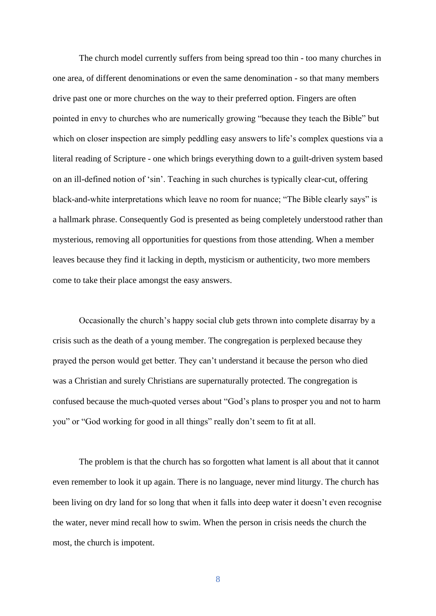The church model currently suffers from being spread too thin - too many churches in one area, of different denominations or even the same denomination - so that many members drive past one or more churches on the way to their preferred option. Fingers are often pointed in envy to churches who are numerically growing "because they teach the Bible" but which on closer inspection are simply peddling easy answers to life's complex questions via a literal reading of Scripture - one which brings everything down to a guilt-driven system based on an ill-defined notion of 'sin'. Teaching in such churches is typically clear-cut, offering black-and-white interpretations which leave no room for nuance; "The Bible clearly says" is a hallmark phrase. Consequently God is presented as being completely understood rather than mysterious, removing all opportunities for questions from those attending. When a member leaves because they find it lacking in depth, mysticism or authenticity, two more members come to take their place amongst the easy answers.

Occasionally the church's happy social club gets thrown into complete disarray by a crisis such as the death of a young member. The congregation is perplexed because they prayed the person would get better. They can't understand it because the person who died was a Christian and surely Christians are supernaturally protected. The congregation is confused because the much-quoted verses about "God's plans to prosper you and not to harm you" or "God working for good in all things" really don't seem to fit at all.

The problem is that the church has so forgotten what lament is all about that it cannot even remember to look it up again. There is no language, never mind liturgy. The church has been living on dry land for so long that when it falls into deep water it doesn't even recognise the water, never mind recall how to swim. When the person in crisis needs the church the most, the church is impotent.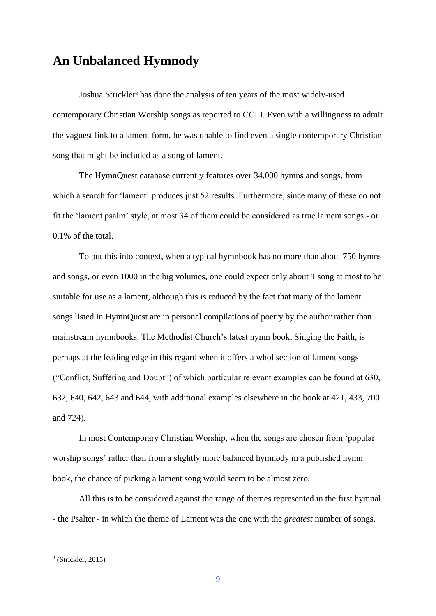### **An Unbalanced Hymnody**

Joshua Strickler<sup>3</sup> has done the analysis of ten years of the most widely-used contemporary Christian Worship songs as reported to CCLI. Even with a willingness to admit the vaguest link to a lament form, he was unable to find even a single contemporary Christian song that might be included as a song of lament.

The HymnQuest database currently features over 34,000 hymns and songs, from which a search for 'lament' produces just 52 results. Furthermore, since many of these do not fit the 'lament psalm' style, at most 34 of them could be considered as true lament songs - or 0.1% of the total.

To put this into context, when a typical hymnbook has no more than about 750 hymns and songs, or even 1000 in the big volumes, one could expect only about 1 song at most to be suitable for use as a lament, although this is reduced by the fact that many of the lament songs listed in HymnQuest are in personal compilations of poetry by the author rather than mainstream hymnbooks. The Methodist Church's latest hymn book, Singing the Faith, is perhaps at the leading edge in this regard when it offers a whol section of lament songs ("Conflict, Suffering and Doubt") of which particular relevant examples can be found at 630, 632, 640, 642, 643 and 644, with additional examples elsewhere in the book at 421, 433, 700 and 724).

In most Contemporary Christian Worship, when the songs are chosen from 'popular worship songs' rather than from a slightly more balanced hymnody in a published hymn book, the chance of picking a lament song would seem to be almost zero.

All this is to be considered against the range of themes represented in the first hymnal - the Psalter - in which the theme of Lament was the one with the *greatest* number of songs.

<sup>3</sup> (Strickler, 2015)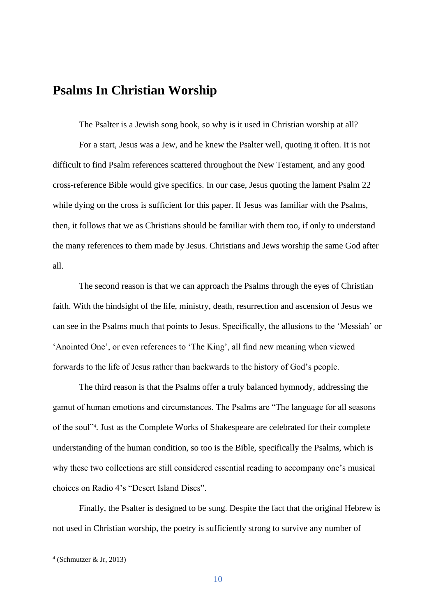### **Psalms In Christian Worship**

The Psalter is a Jewish song book, so why is it used in Christian worship at all? For a start, Jesus was a Jew, and he knew the Psalter well, quoting it often. It is not difficult to find Psalm references scattered throughout the New Testament, and any good cross-reference Bible would give specifics. In our case, Jesus quoting the lament Psalm 22 while dying on the cross is sufficient for this paper. If Jesus was familiar with the Psalms, then, it follows that we as Christians should be familiar with them too, if only to understand the many references to them made by Jesus. Christians and Jews worship the same God after all.

The second reason is that we can approach the Psalms through the eyes of Christian faith. With the hindsight of the life, ministry, death, resurrection and ascension of Jesus we can see in the Psalms much that points to Jesus. Specifically, the allusions to the 'Messiah' or 'Anointed One', or even references to 'The King', all find new meaning when viewed forwards to the life of Jesus rather than backwards to the history of God's people.

The third reason is that the Psalms offer a truly balanced hymnody, addressing the gamut of human emotions and circumstances. The Psalms are "The language for all seasons of the soul"<sup>4</sup> . Just as the Complete Works of Shakespeare are celebrated for their complete understanding of the human condition, so too is the Bible, specifically the Psalms, which is why these two collections are still considered essential reading to accompany one's musical choices on Radio 4's "Desert Island Discs".

Finally, the Psalter is designed to be sung. Despite the fact that the original Hebrew is not used in Christian worship, the poetry is sufficiently strong to survive any number of

<sup>4</sup> (Schmutzer & Jr, 2013)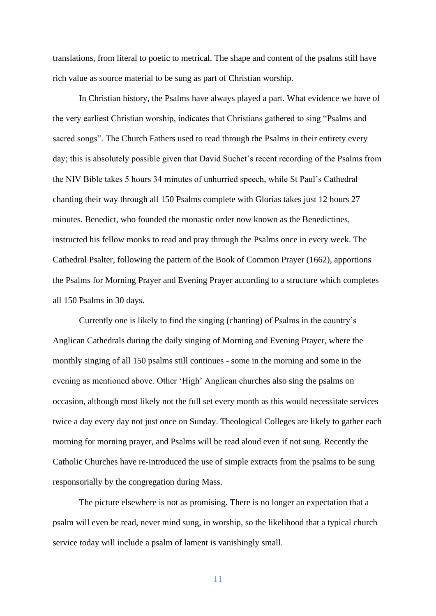translations, from literal to poetic to metrical. The shape and content of the psalms still have rich value as source material to be sung as part of Christian worship.

In Christian history, the Psalms have always played a part. What evidence we have of the very earliest Christian worship, indicates that Christians gathered to sing "Psalms and sacred songs". The Church Fathers used to read through the Psalms in their entirety every day; this is absolutely possible given that David Suchet's recent recording of the Psalms from the NIV Bible takes 5 hours 34 minutes of unhurried speech, while St Paul's Cathedral chanting their way through all 150 Psalms complete with Glorias takes just 12 hours 27 minutes. Benedict, who founded the monastic order now known as the Benedictines, instructed his fellow monks to read and pray through the Psalms once in every week. The Cathedral Psalter, following the pattern of the Book of Common Prayer (1662), apportions the Psalms for Morning Prayer and Evening Prayer according to a structure which completes all 150 Psalms in 30 days.

Currently one is likely to find the singing (chanting) of Psalms in the country's Anglican Cathedrals during the daily singing of Morning and Evening Prayer, where the monthly singing of all 150 psalms still continues - some in the morning and some in the evening as mentioned above. Other 'High' Anglican churches also sing the psalms on occasion, although most likely not the full set every month as this would necessitate services twice a day every day not just once on Sunday. Theological Colleges are likely to gather each morning for morning prayer, and Psalms will be read aloud even if not sung. Recently the Catholic Churches have re-introduced the use of simple extracts from the psalms to be sung responsorially by the congregation during Mass.

The picture elsewhere is not as promising. There is no longer an expectation that a psalm will even be read, never mind sung, in worship, so the likelihood that a typical church service today will include a psalm of lament is vanishingly small.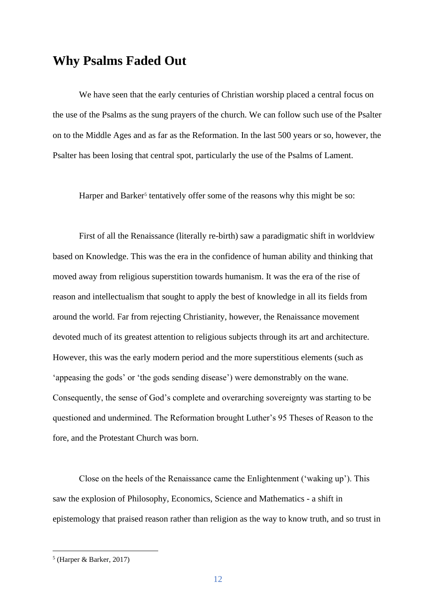### **Why Psalms Faded Out**

We have seen that the early centuries of Christian worship placed a central focus on the use of the Psalms as the sung prayers of the church. We can follow such use of the Psalter on to the Middle Ages and as far as the Reformation. In the last 500 years or so, however, the Psalter has been losing that central spot, particularly the use of the Psalms of Lament.

Harper and Barker<sup>5</sup> tentatively offer some of the reasons why this might be so:

First of all the Renaissance (literally re-birth) saw a paradigmatic shift in worldview based on Knowledge. This was the era in the confidence of human ability and thinking that moved away from religious superstition towards humanism. It was the era of the rise of reason and intellectualism that sought to apply the best of knowledge in all its fields from around the world. Far from rejecting Christianity, however, the Renaissance movement devoted much of its greatest attention to religious subjects through its art and architecture. However, this was the early modern period and the more superstitious elements (such as 'appeasing the gods' or 'the gods sending disease') were demonstrably on the wane. Consequently, the sense of God's complete and overarching sovereignty was starting to be questioned and undermined. The Reformation brought Luther's 95 Theses of Reason to the fore, and the Protestant Church was born.

Close on the heels of the Renaissance came the Enlightenment ('waking up'). This saw the explosion of Philosophy, Economics, Science and Mathematics - a shift in epistemology that praised reason rather than religion as the way to know truth, and so trust in

<sup>5</sup> (Harper & Barker, 2017)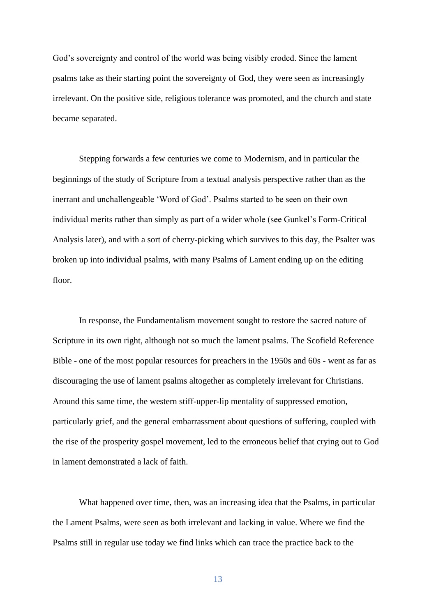God's sovereignty and control of the world was being visibly eroded. Since the lament psalms take as their starting point the sovereignty of God, they were seen as increasingly irrelevant. On the positive side, religious tolerance was promoted, and the church and state became separated.

Stepping forwards a few centuries we come to Modernism, and in particular the beginnings of the study of Scripture from a textual analysis perspective rather than as the inerrant and unchallengeable 'Word of God'. Psalms started to be seen on their own individual merits rather than simply as part of a wider whole (see Gunkel's Form-Critical Analysis later), and with a sort of cherry-picking which survives to this day, the Psalter was broken up into individual psalms, with many Psalms of Lament ending up on the editing floor.

In response, the Fundamentalism movement sought to restore the sacred nature of Scripture in its own right, although not so much the lament psalms. The Scofield Reference Bible - one of the most popular resources for preachers in the 1950s and 60s - went as far as discouraging the use of lament psalms altogether as completely irrelevant for Christians. Around this same time, the western stiff-upper-lip mentality of suppressed emotion, particularly grief, and the general embarrassment about questions of suffering, coupled with the rise of the prosperity gospel movement, led to the erroneous belief that crying out to God in lament demonstrated a lack of faith.

What happened over time, then, was an increasing idea that the Psalms, in particular the Lament Psalms, were seen as both irrelevant and lacking in value. Where we find the Psalms still in regular use today we find links which can trace the practice back to the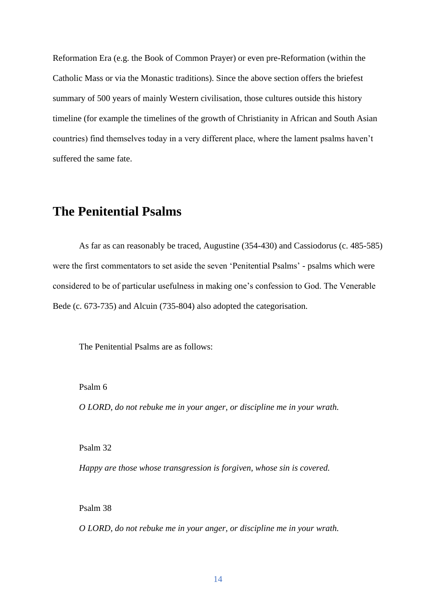Reformation Era (e.g. the Book of Common Prayer) or even pre-Reformation (within the Catholic Mass or via the Monastic traditions). Since the above section offers the briefest summary of 500 years of mainly Western civilisation, those cultures outside this history timeline (for example the timelines of the growth of Christianity in African and South Asian countries) find themselves today in a very different place, where the lament psalms haven't suffered the same fate.

### **The Penitential Psalms**

As far as can reasonably be traced, Augustine (354-430) and Cassiodorus (c. 485-585) were the first commentators to set aside the seven 'Penitential Psalms' - psalms which were considered to be of particular usefulness in making one's confession to God. The Venerable Bede (c. 673-735) and Alcuin (735-804) also adopted the categorisation.

The Penitential Psalms are as follows:

Psalm 6

*O LORD, do not rebuke me in your anger, or discipline me in your wrath.*

Psalm 32

*Happy are those whose transgression is forgiven, whose sin is covered.*

Psalm 38

*O LORD, do not rebuke me in your anger, or discipline me in your wrath.*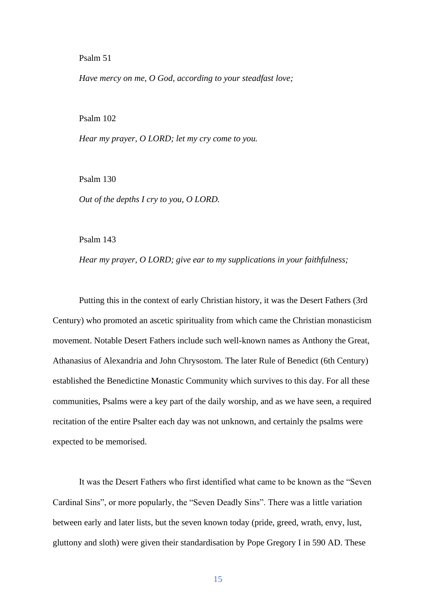#### Psalm 51

*Have mercy on me, O God, according to your steadfast love;*

#### Psalm 102

*Hear my prayer, O LORD; let my cry come to you.*

Psalm 130

*Out of the depths I cry to you, O LORD.*

Psalm 143

*Hear my prayer, O LORD; give ear to my supplications in your faithfulness;*

Putting this in the context of early Christian history, it was the Desert Fathers (3rd Century) who promoted an ascetic spirituality from which came the Christian monasticism movement. Notable Desert Fathers include such well-known names as Anthony the Great, Athanasius of Alexandria and John Chrysostom. The later Rule of Benedict (6th Century) established the Benedictine Monastic Community which survives to this day. For all these communities, Psalms were a key part of the daily worship, and as we have seen, a required recitation of the entire Psalter each day was not unknown, and certainly the psalms were expected to be memorised.

It was the Desert Fathers who first identified what came to be known as the "Seven Cardinal Sins", or more popularly, the "Seven Deadly Sins". There was a little variation between early and later lists, but the seven known today (pride, greed, wrath, envy, lust, gluttony and sloth) were given their standardisation by Pope Gregory I in 590 AD. These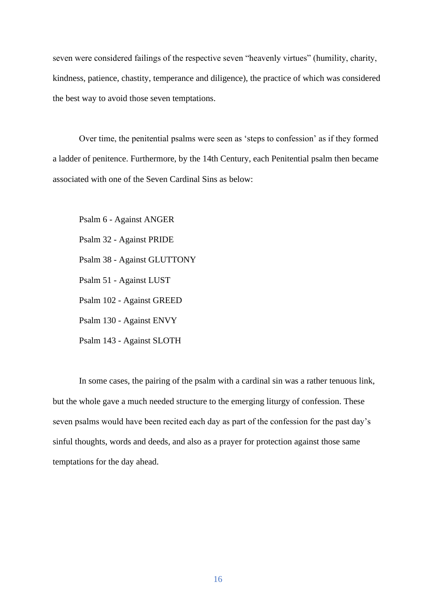seven were considered failings of the respective seven "heavenly virtues" (humility, charity, kindness, patience, chastity, temperance and diligence), the practice of which was considered the best way to avoid those seven temptations.

Over time, the penitential psalms were seen as 'steps to confession' as if they formed a ladder of penitence. Furthermore, by the 14th Century, each Penitential psalm then became associated with one of the Seven Cardinal Sins as below:

Psalm 6 - Against ANGER Psalm 32 - Against PRIDE Psalm 38 - Against GLUTTONY Psalm 51 - Against LUST Psalm 102 - Against GREED Psalm 130 - Against ENVY Psalm 143 - Against SLOTH

In some cases, the pairing of the psalm with a cardinal sin was a rather tenuous link, but the whole gave a much needed structure to the emerging liturgy of confession. These seven psalms would have been recited each day as part of the confession for the past day's sinful thoughts, words and deeds, and also as a prayer for protection against those same temptations for the day ahead.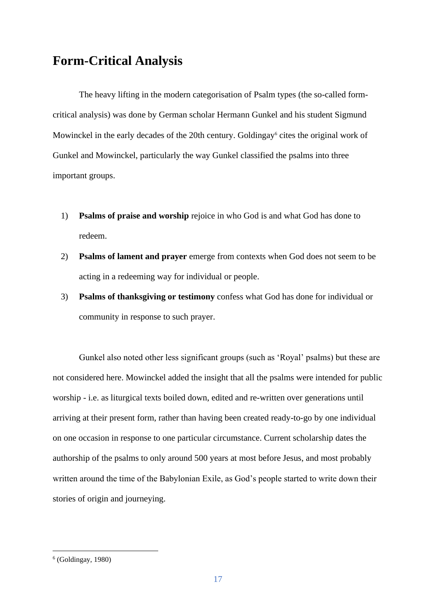### **Form-Critical Analysis**

The heavy lifting in the modern categorisation of Psalm types (the so-called formcritical analysis) was done by German scholar Hermann Gunkel and his student Sigmund Mowinckel in the early decades of the 20th century. Goldingay<sup>6</sup> cites the original work of Gunkel and Mowinckel, particularly the way Gunkel classified the psalms into three important groups.

- 1) **Psalms of praise and worship** rejoice in who God is and what God has done to redeem.
- 2) **Psalms of lament and prayer** emerge from contexts when God does not seem to be acting in a redeeming way for individual or people.
- 3) **Psalms of thanksgiving or testimony** confess what God has done for individual or community in response to such prayer.

Gunkel also noted other less significant groups (such as 'Royal' psalms) but these are not considered here. Mowinckel added the insight that all the psalms were intended for public worship - i.e. as liturgical texts boiled down, edited and re-written over generations until arriving at their present form, rather than having been created ready-to-go by one individual on one occasion in response to one particular circumstance. Current scholarship dates the authorship of the psalms to only around 500 years at most before Jesus, and most probably written around the time of the Babylonian Exile, as God's people started to write down their stories of origin and journeying.

 $<sup>6</sup>$  (Goldingay, 1980)</sup>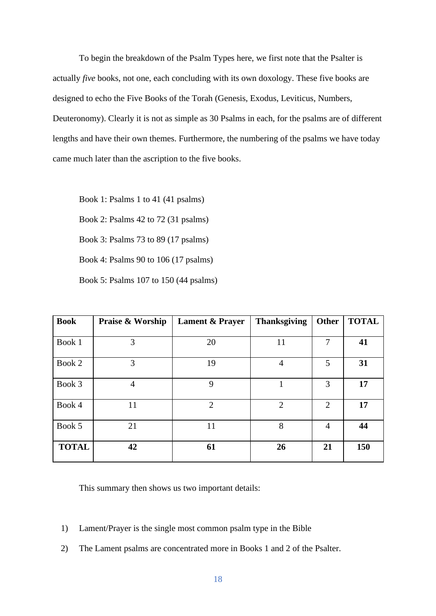To begin the breakdown of the Psalm Types here, we first note that the Psalter is actually *five* books, not one, each concluding with its own doxology. These five books are designed to echo the Five Books of the Torah (Genesis, Exodus, Leviticus, Numbers, Deuteronomy). Clearly it is not as simple as 30 Psalms in each, for the psalms are of different lengths and have their own themes. Furthermore, the numbering of the psalms we have today came much later than the ascription to the five books.

Book 1: Psalms 1 to 41 (41 psalms)

Book 2: Psalms 42 to 72 (31 psalms)

Book 3: Psalms 73 to 89 (17 psalms)

Book 4: Psalms 90 to 106 (17 psalms)

Book 5: Psalms 107 to 150 (44 psalms)

| <b>Book</b>  | Praise & Worship | <b>Lament &amp; Prayer</b> | <b>Thanksgiving</b> | Other          | <b>TOTAL</b> |
|--------------|------------------|----------------------------|---------------------|----------------|--------------|
| Book 1       | 3                | 20                         | 11                  | $\tau$         | 41           |
| Book 2       | 3                | 19                         | $\overline{4}$      | 5              | 31           |
| Book 3       | $\overline{4}$   | 9                          |                     | 3              | 17           |
| Book 4       | 11               | $\overline{2}$             | $\overline{2}$      | $\overline{2}$ | 17           |
| Book 5       | 21               | 11                         | 8                   | $\overline{4}$ | 44           |
| <b>TOTAL</b> | 42               | 61                         | 26                  | 21             | 150          |

This summary then shows us two important details:

- 1) Lament/Prayer is the single most common psalm type in the Bible
- 2) The Lament psalms are concentrated more in Books 1 and 2 of the Psalter.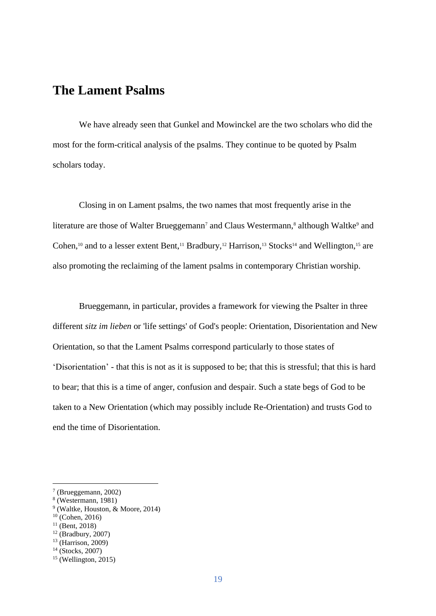### **The Lament Psalms**

We have already seen that Gunkel and Mowinckel are the two scholars who did the most for the form-critical analysis of the psalms. They continue to be quoted by Psalm scholars today.

Closing in on Lament psalms, the two names that most frequently arise in the literature are those of Walter Brueggemann<sup>7</sup> and Claus Westermann,<sup>8</sup> although Waltke<sup>9</sup> and Cohen,<sup>10</sup> and to a lesser extent Bent,<sup>11</sup> Bradbury,<sup>12</sup> Harrison,<sup>13</sup> Stocks<sup>14</sup> and Wellington,<sup>15</sup> are also promoting the reclaiming of the lament psalms in contemporary Christian worship.

Brueggemann, in particular, provides a framework for viewing the Psalter in three different *sitz im lieben* or 'life settings' of God's people: Orientation, Disorientation and New Orientation, so that the Lament Psalms correspond particularly to those states of 'Disorientation' - that this is not as it is supposed to be; that this is stressful; that this is hard to bear; that this is a time of anger, confusion and despair. Such a state begs of God to be taken to a New Orientation (which may possibly include Re-Orientation) and trusts God to end the time of Disorientation.

<sup>7</sup> (Brueggemann, 2002)

<sup>8</sup> (Westermann, 1981)

<sup>9</sup> (Waltke, Houston, & Moore, 2014)

 $10$  (Cohen, 2016)

 $11$  (Bent, 2018)

 $12$  (Bradbury, 2007)

<sup>13</sup> (Harrison, 2009)

<sup>14</sup> (Stocks, 2007)

 $15$  (Wellington, 2015)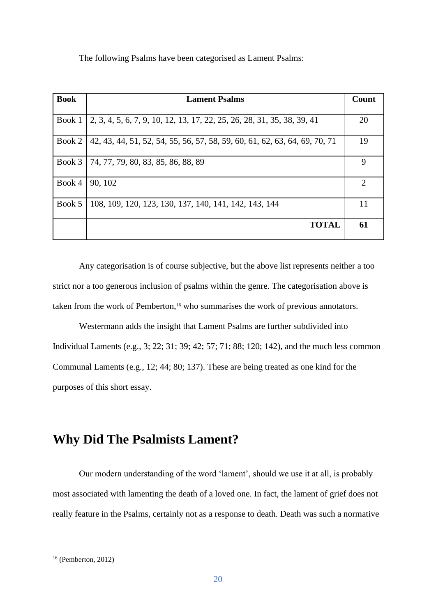The following Psalms have been categorised as Lament Psalms:

| <b>Book</b> | <b>Lament Psalms</b>                                                       | Count |
|-------------|----------------------------------------------------------------------------|-------|
| Book 1      | 2, 3, 4, 5, 6, 7, 9, 10, 12, 13, 17, 22, 25, 26, 28, 31, 35, 38, 39, 41    | 20    |
| Book 2      | 42, 43, 44, 51, 52, 54, 55, 56, 57, 58, 59, 60, 61, 62, 63, 64, 69, 70, 71 | 19    |
| Book 3      | 74, 77, 79, 80, 83, 85, 86, 88, 89                                         | 9     |
| Book 4      | 90, 102                                                                    | 2     |
| Book 5      | 108, 109, 120, 123, 130, 137, 140, 141, 142, 143, 144                      | 11    |
|             | <b>TOTAL</b>                                                               | 61    |

Any categorisation is of course subjective, but the above list represents neither a too strict nor a too generous inclusion of psalms within the genre. The categorisation above is taken from the work of Pemberton,<sup>16</sup> who summarises the work of previous annotators.

Westermann adds the insight that Lament Psalms are further subdivided into Individual Laments (e.g., 3; 22; 31; 39; 42; 57; 71; 88; 120; 142), and the much less common Communal Laments (e.g., 12; 44; 80; 137). These are being treated as one kind for the purposes of this short essay.

### **Why Did The Psalmists Lament?**

Our modern understanding of the word 'lament', should we use it at all, is probably most associated with lamenting the death of a loved one. In fact, the lament of grief does not really feature in the Psalms, certainly not as a response to death. Death was such a normative

<sup>16</sup> (Pemberton, 2012)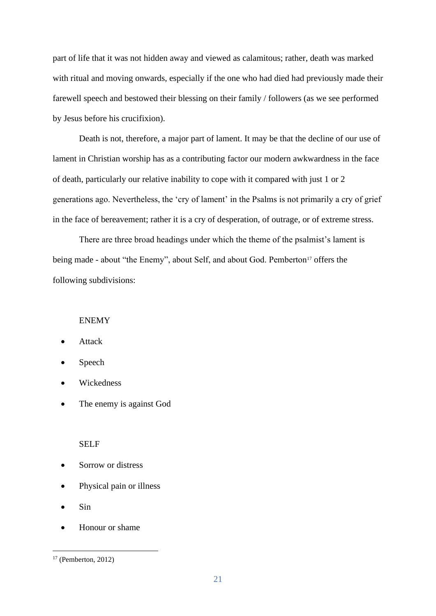part of life that it was not hidden away and viewed as calamitous; rather, death was marked with ritual and moving onwards, especially if the one who had died had previously made their farewell speech and bestowed their blessing on their family / followers (as we see performed by Jesus before his crucifixion).

Death is not, therefore, a major part of lament. It may be that the decline of our use of lament in Christian worship has as a contributing factor our modern awkwardness in the face of death, particularly our relative inability to cope with it compared with just 1 or 2 generations ago. Nevertheless, the 'cry of lament' in the Psalms is not primarily a cry of grief in the face of bereavement; rather it is a cry of desperation, of outrage, or of extreme stress.

There are three broad headings under which the theme of the psalmist's lament is being made - about "the Enemy", about Self, and about God. Pemberton<sup>17</sup> offers the following subdivisions:

#### ENEMY

- **Attack**
- Speech
- **Wickedness**
- The enemy is against God

#### SELF

- Sorrow or distress
- Physical pain or illness
- Sin
- Honour or shame

 $17$  (Pemberton, 2012)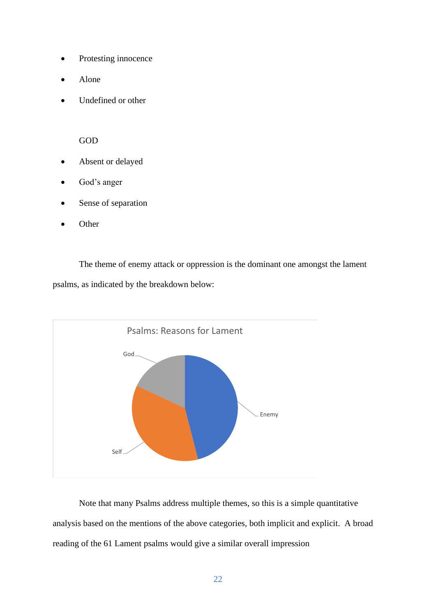- Protesting innocence
- Alone
- Undefined or other

GOD

- Absent or delayed
- God's anger
- Sense of separation
- **Other**

The theme of enemy attack or oppression is the dominant one amongst the lament psalms, as indicated by the breakdown below:



Note that many Psalms address multiple themes, so this is a simple quantitative analysis based on the mentions of the above categories, both implicit and explicit. A broad reading of the 61 Lament psalms would give a similar overall impression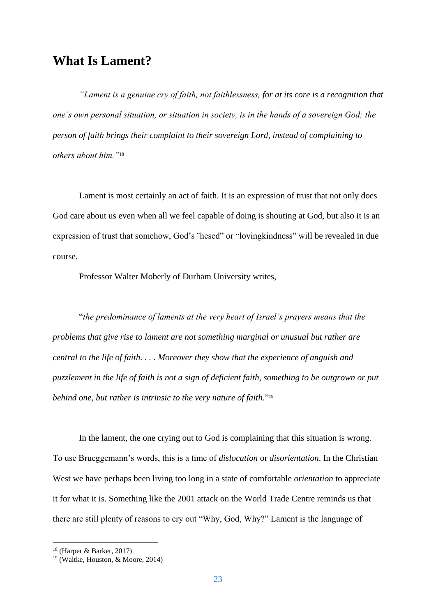### **What Is Lament?**

*"Lament is a genuine cry of faith, not faithlessness, for at its core is a recognition that one's own personal situation, or situation in society, is in the hands of a sovereign God; the person of faith brings their complaint to their sovereign Lord, instead of complaining to others about him."*<sup>18</sup>

Lament is most certainly an act of faith. It is an expression of trust that not only does God care about us even when all we feel capable of doing is shouting at God, but also it is an expression of trust that somehow, God's ¨hesed" or "lovingkindness" will be revealed in due course.

Professor Walter Moberly of Durham University writes,

"*the predominance of laments at the very heart of Israel's prayers means that the problems that give rise to lament are not something marginal or unusual but rather are central to the life of faith. . . . Moreover they show that the experience of anguish and puzzlement in the life of faith is not a sign of deficient faith, something to be outgrown or put behind one, but rather is intrinsic to the very nature of faith.*" 19

In the lament, the one crying out to God is complaining that this situation is wrong. To use Brueggemann's words, this is a time of *dislocation* or *disorientation*. In the Christian West we have perhaps been living too long in a state of comfortable *orientation* to appreciate it for what it is. Something like the 2001 attack on the World Trade Centre reminds us that there are still plenty of reasons to cry out "Why, God, Why?" Lament is the language of

<sup>18</sup> (Harper & Barker, 2017)

<sup>19</sup> (Waltke, Houston, & Moore, 2014)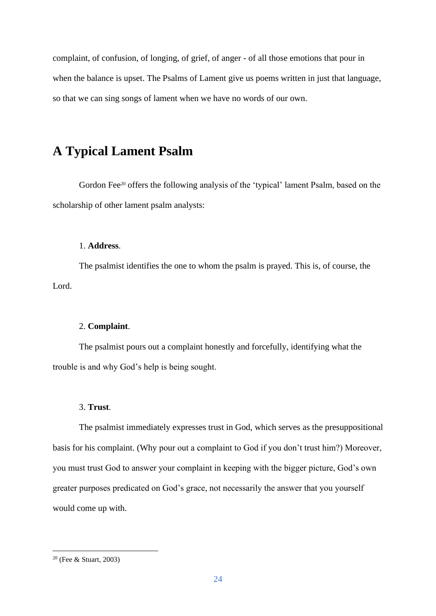complaint, of confusion, of longing, of grief, of anger - of all those emotions that pour in when the balance is upset. The Psalms of Lament give us poems written in just that language, so that we can sing songs of lament when we have no words of our own.

### **A Typical Lament Psalm**

Gordon Fee<sup>20</sup> offers the following analysis of the 'typical' lament Psalm, based on the scholarship of other lament psalm analysts:

#### 1. **Address**.

The psalmist identifies the one to whom the psalm is prayed. This is, of course, the Lord.

#### 2. **Complaint**.

The psalmist pours out a complaint honestly and forcefully, identifying what the trouble is and why God's help is being sought.

#### 3. **Trust**.

The psalmist immediately expresses trust in God, which serves as the presuppositional basis for his complaint. (Why pour out a complaint to God if you don't trust him?) Moreover, you must trust God to answer your complaint in keeping with the bigger picture, God's own greater purposes predicated on God's grace, not necessarily the answer that you yourself would come up with.

<sup>20</sup> (Fee & Stuart, 2003)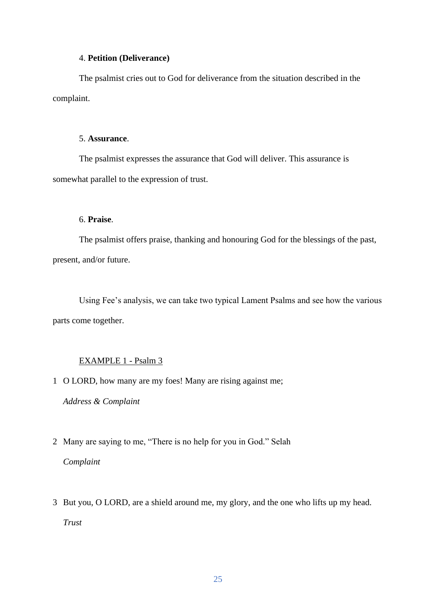#### 4. **Petition (Deliverance)**

The psalmist cries out to God for deliverance from the situation described in the complaint.

#### 5. **Assurance**.

The psalmist expresses the assurance that God will deliver. This assurance is somewhat parallel to the expression of trust.

#### 6. **Praise**.

The psalmist offers praise, thanking and honouring God for the blessings of the past, present, and/or future.

Using Fee's analysis, we can take two typical Lament Psalms and see how the various parts come together.

#### EXAMPLE 1 - Psalm 3

1 O LORD, how many are my foes! Many are rising against me;

*Address & Complaint*

2 Many are saying to me, "There is no help for you in God." Selah

*Complaint*

3 But you, O LORD, are a shield around me, my glory, and the one who lifts up my head. *Trust*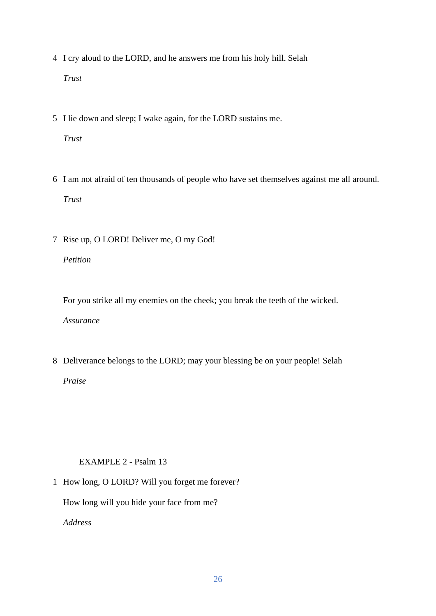- 4 I cry aloud to the LORD, and he answers me from his holy hill. Selah *Trust*
- 5 I lie down and sleep; I wake again, for the LORD sustains me.

*Trust*

- 6 I am not afraid of ten thousands of people who have set themselves against me all around. *Trust*
- 7 Rise up, O LORD! Deliver me, O my God!

*Petition*

For you strike all my enemies on the cheek; you break the teeth of the wicked. *Assurance*

8 Deliverance belongs to the LORD; may your blessing be on your people! Selah *Praise*

#### EXAMPLE 2 - Psalm 13

1 How long, O LORD? Will you forget me forever?

How long will you hide your face from me?

*Address*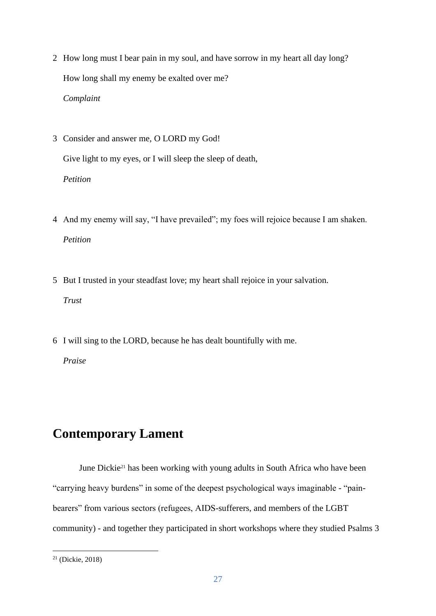- 2 How long must I bear pain in my soul, and have sorrow in my heart all day long? How long shall my enemy be exalted over me? *Complaint*
- 3 Consider and answer me, O LORD my God! Give light to my eyes, or I will sleep the sleep of death, *Petition*
- 4 And my enemy will say, "I have prevailed"; my foes will rejoice because I am shaken. *Petition*
- 5 But I trusted in your steadfast love; my heart shall rejoice in your salvation. *Trust*
- 6 I will sing to the LORD, because he has dealt bountifully with me.

*Praise*

### **Contemporary Lament**

June Dickie<sup>21</sup> has been working with young adults in South Africa who have been "carrying heavy burdens" in some of the deepest psychological ways imaginable - "painbearers" from various sectors (refugees, AIDS-sufferers, and members of the LGBT community) - and together they participated in short workshops where they studied Psalms 3

<sup>21</sup> (Dickie, 2018)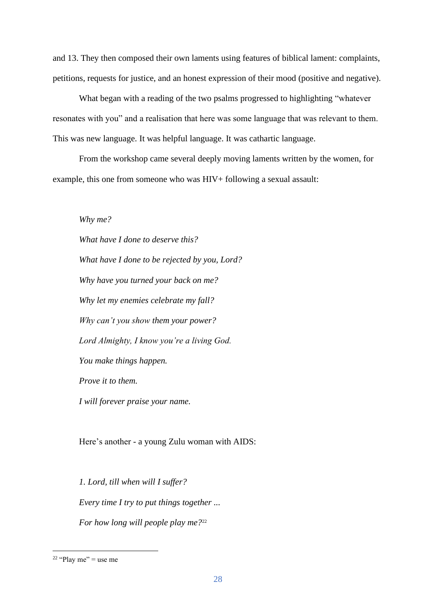and 13. They then composed their own laments using features of biblical lament: complaints, petitions, requests for justice, and an honest expression of their mood (positive and negative).

What began with a reading of the two psalms progressed to highlighting "whatever resonates with you" and a realisation that here was some language that was relevant to them. This was new language. It was helpful language. It was cathartic language.

From the workshop came several deeply moving laments written by the women, for example, this one from someone who was HIV+ following a sexual assault:

*Why me?*

*What have I done to deserve this? What have I done to be rejected by you, Lord? Why have you turned your back on me? Why let my enemies celebrate my fall? Why can't you show them your power? Lord Almighty, I know you're a living God. You make things happen. Prove it to them. I will forever praise your name.*

Here's another - a young Zulu woman with AIDS:

*1. Lord, till when will I suffer? Every time I try to put things together ... For how long will people play me?*<sup>22</sup>

<sup>&</sup>lt;sup>22</sup> "Play me" = use me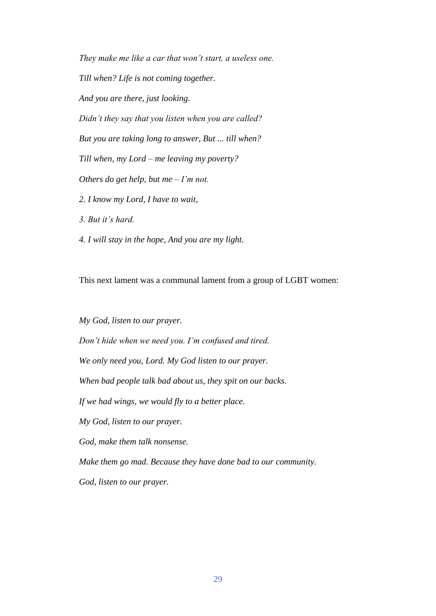*They make me like a car that won't start, a useless one. Till when? Life is not coming together. And you are there, just looking. Didn't they say that you listen when you are called? But you are taking long to answer, But ... till when? Till when, my Lord – me leaving my poverty? Others do get help, but me – I'm not. 2. I know my Lord, I have to wait, 3. But it's hard. 4. I will stay in the hope, And you are my light.*

This next lament was a communal lament from a group of LGBT women:

*My God, listen to our prayer. Don't hide when we need you. I'm confused and tired. We only need you, Lord. My God listen to our prayer. When bad people talk bad about us, they spit on our backs. If we had wings, we would fly to a better place. My God, listen to our prayer. God, make them talk nonsense. Make them go mad. Because they have done bad to our community. God, listen to our prayer.*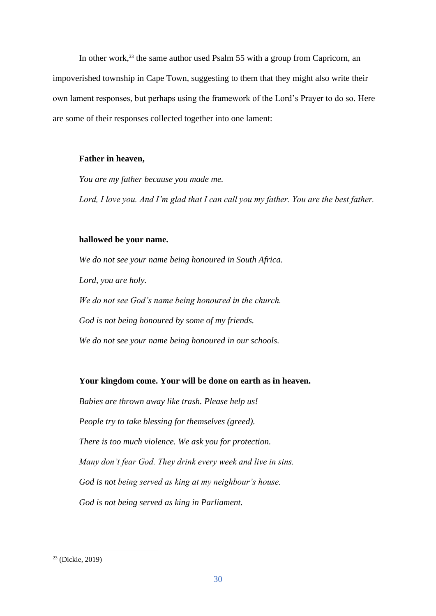In other work,<sup>23</sup> the same author used Psalm 55 with a group from Capricorn, an impoverished township in Cape Town, suggesting to them that they might also write their own lament responses, but perhaps using the framework of the Lord's Prayer to do so. Here are some of their responses collected together into one lament:

#### **Father in heaven,**

*You are my father because you made me.*

*Lord, I love you. And I'm glad that I can call you my father. You are the best father.*

#### **hallowed be your name.**

*We do not see your name being honoured in South Africa. Lord, you are holy. We do not see God's name being honoured in the church. God is not being honoured by some of my friends. We do not see your name being honoured in our schools.*

#### **Your kingdom come. Your will be done on earth as in heaven.**

*Babies are thrown away like trash. Please help us! People try to take blessing for themselves (greed). There is too much violence. We ask you for protection. Many don't fear God. They drink every week and live in sins. God is not being served as king at my neighbour's house. God is not being served as king in Parliament.*

<sup>23</sup> (Dickie, 2019)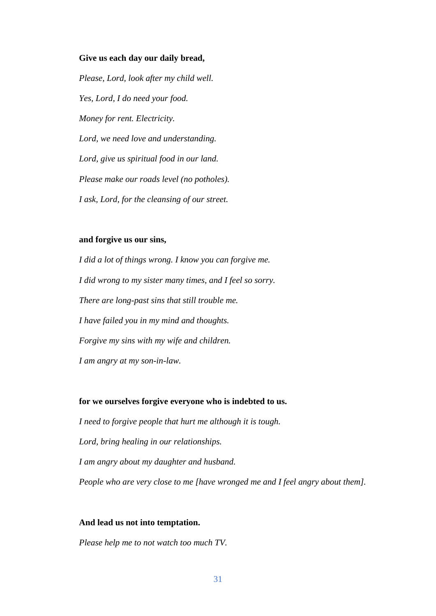#### **Give us each day our daily bread,**

*Please, Lord, look after my child well. Yes, Lord, I do need your food. Money for rent. Electricity. Lord, we need love and understanding. Lord, give us spiritual food in our land. Please make our roads level (no potholes). I ask, Lord, for the cleansing of our street.*

#### **and forgive us our sins,**

*I did a lot of things wrong. I know you can forgive me. I did wrong to my sister many times, and I feel so sorry. There are long-past sins that still trouble me. I have failed you in my mind and thoughts. Forgive my sins with my wife and children. I am angry at my son-in-law.*

#### **for we ourselves forgive everyone who is indebted to us.**

*I need to forgive people that hurt me although it is tough. Lord, bring healing in our relationships. I am angry about my daughter and husband. People who are very close to me [have wronged me and I feel angry about them].*

#### **And lead us not into temptation.**

*Please help me to not watch too much TV.*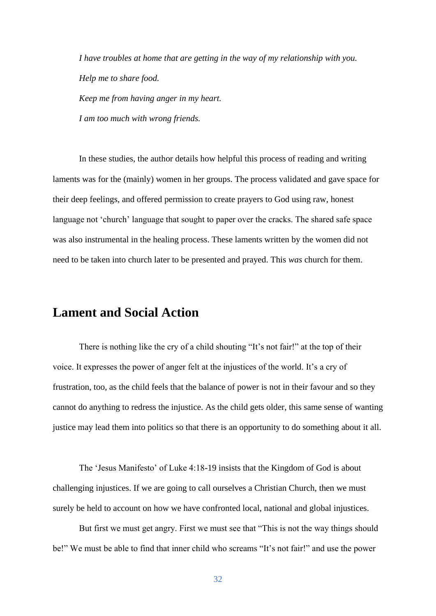*I have troubles at home that are getting in the way of my relationship with you. Help me to share food. Keep me from having anger in my heart. I am too much with wrong friends.*

In these studies, the author details how helpful this process of reading and writing laments was for the (mainly) women in her groups. The process validated and gave space for their deep feelings, and offered permission to create prayers to God using raw, honest language not 'church' language that sought to paper over the cracks. The shared safe space was also instrumental in the healing process. These laments written by the women did not need to be taken into church later to be presented and prayed. This *was* church for them.

### **Lament and Social Action**

There is nothing like the cry of a child shouting "It's not fair!" at the top of their voice. It expresses the power of anger felt at the injustices of the world. It's a cry of frustration, too, as the child feels that the balance of power is not in their favour and so they cannot do anything to redress the injustice. As the child gets older, this same sense of wanting justice may lead them into politics so that there is an opportunity to do something about it all.

The 'Jesus Manifesto' of Luke 4:18-19 insists that the Kingdom of God is about challenging injustices. If we are going to call ourselves a Christian Church, then we must surely be held to account on how we have confronted local, national and global injustices.

But first we must get angry. First we must see that "This is not the way things should be!" We must be able to find that inner child who screams "It's not fair!" and use the power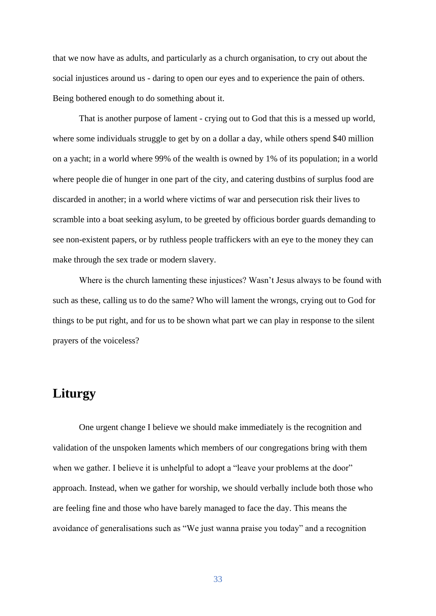that we now have as adults, and particularly as a church organisation, to cry out about the social injustices around us - daring to open our eyes and to experience the pain of others. Being bothered enough to do something about it.

That is another purpose of lament - crying out to God that this is a messed up world, where some individuals struggle to get by on a dollar a day, while others spend \$40 million on a yacht; in a world where 99% of the wealth is owned by 1% of its population; in a world where people die of hunger in one part of the city, and catering dustbins of surplus food are discarded in another; in a world where victims of war and persecution risk their lives to scramble into a boat seeking asylum, to be greeted by officious border guards demanding to see non-existent papers, or by ruthless people traffickers with an eye to the money they can make through the sex trade or modern slavery.

Where is the church lamenting these injustices? Wasn't Jesus always to be found with such as these, calling us to do the same? Who will lament the wrongs, crying out to God for things to be put right, and for us to be shown what part we can play in response to the silent prayers of the voiceless?

### **Liturgy**

One urgent change I believe we should make immediately is the recognition and validation of the unspoken laments which members of our congregations bring with them when we gather. I believe it is unhelpful to adopt a "leave your problems at the door" approach. Instead, when we gather for worship, we should verbally include both those who are feeling fine and those who have barely managed to face the day. This means the avoidance of generalisations such as "We just wanna praise you today" and a recognition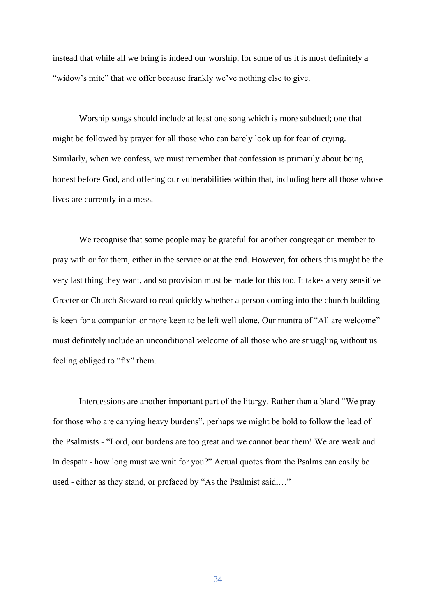instead that while all we bring is indeed our worship, for some of us it is most definitely a "widow's mite" that we offer because frankly we've nothing else to give.

Worship songs should include at least one song which is more subdued; one that might be followed by prayer for all those who can barely look up for fear of crying. Similarly, when we confess, we must remember that confession is primarily about being honest before God, and offering our vulnerabilities within that, including here all those whose lives are currently in a mess.

We recognise that some people may be grateful for another congregation member to pray with or for them, either in the service or at the end. However, for others this might be the very last thing they want, and so provision must be made for this too. It takes a very sensitive Greeter or Church Steward to read quickly whether a person coming into the church building is keen for a companion or more keen to be left well alone. Our mantra of "All are welcome" must definitely include an unconditional welcome of all those who are struggling without us feeling obliged to "fix" them.

Intercessions are another important part of the liturgy. Rather than a bland "We pray for those who are carrying heavy burdens", perhaps we might be bold to follow the lead of the Psalmists - "Lord, our burdens are too great and we cannot bear them! We are weak and in despair - how long must we wait for you?" Actual quotes from the Psalms can easily be used - either as they stand, or prefaced by "As the Psalmist said,…"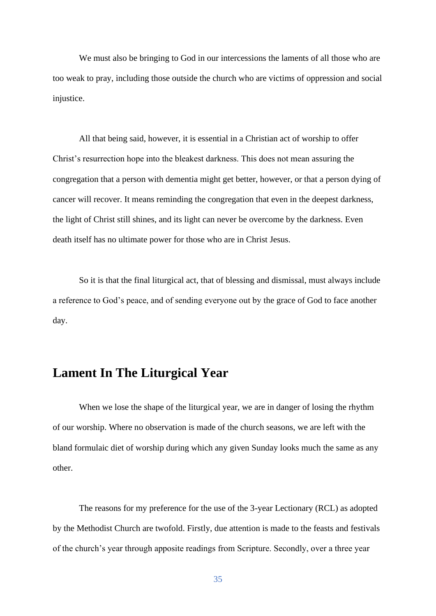We must also be bringing to God in our intercessions the laments of all those who are too weak to pray, including those outside the church who are victims of oppression and social injustice.

All that being said, however, it is essential in a Christian act of worship to offer Christ's resurrection hope into the bleakest darkness. This does not mean assuring the congregation that a person with dementia might get better, however, or that a person dying of cancer will recover. It means reminding the congregation that even in the deepest darkness, the light of Christ still shines, and its light can never be overcome by the darkness. Even death itself has no ultimate power for those who are in Christ Jesus.

So it is that the final liturgical act, that of blessing and dismissal, must always include a reference to God's peace, and of sending everyone out by the grace of God to face another day.

### **Lament In The Liturgical Year**

When we lose the shape of the liturgical year, we are in danger of losing the rhythm of our worship. Where no observation is made of the church seasons, we are left with the bland formulaic diet of worship during which any given Sunday looks much the same as any other.

The reasons for my preference for the use of the 3-year Lectionary (RCL) as adopted by the Methodist Church are twofold. Firstly, due attention is made to the feasts and festivals of the church's year through apposite readings from Scripture. Secondly, over a three year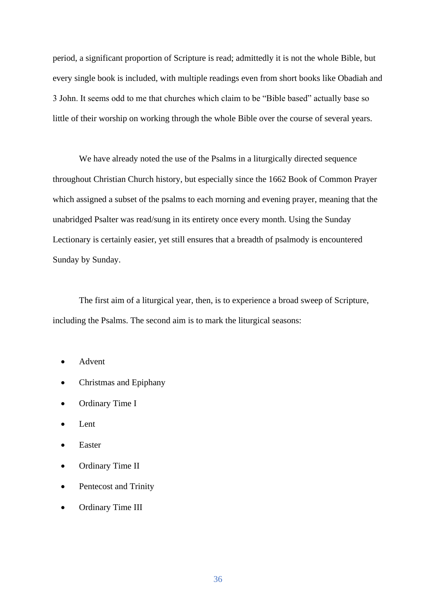period, a significant proportion of Scripture is read; admittedly it is not the whole Bible, but every single book is included, with multiple readings even from short books like Obadiah and 3 John. It seems odd to me that churches which claim to be "Bible based" actually base so little of their worship on working through the whole Bible over the course of several years.

We have already noted the use of the Psalms in a liturgically directed sequence throughout Christian Church history, but especially since the 1662 Book of Common Prayer which assigned a subset of the psalms to each morning and evening prayer, meaning that the unabridged Psalter was read/sung in its entirety once every month. Using the Sunday Lectionary is certainly easier, yet still ensures that a breadth of psalmody is encountered Sunday by Sunday.

The first aim of a liturgical year, then, is to experience a broad sweep of Scripture, including the Psalms. The second aim is to mark the liturgical seasons:

- Advent
- Christmas and Epiphany
- Ordinary Time I
- Lent
- Easter
- Ordinary Time II
- Pentecost and Trinity
- Ordinary Time III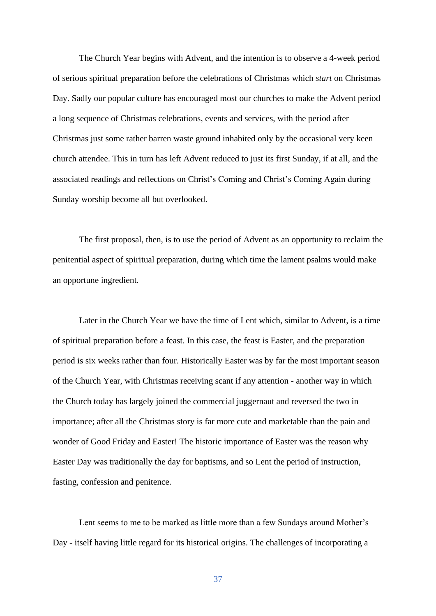The Church Year begins with Advent, and the intention is to observe a 4-week period of serious spiritual preparation before the celebrations of Christmas which *start* on Christmas Day. Sadly our popular culture has encouraged most our churches to make the Advent period a long sequence of Christmas celebrations, events and services, with the period after Christmas just some rather barren waste ground inhabited only by the occasional very keen church attendee. This in turn has left Advent reduced to just its first Sunday, if at all, and the associated readings and reflections on Christ's Coming and Christ's Coming Again during Sunday worship become all but overlooked.

The first proposal, then, is to use the period of Advent as an opportunity to reclaim the penitential aspect of spiritual preparation, during which time the lament psalms would make an opportune ingredient.

Later in the Church Year we have the time of Lent which, similar to Advent, is a time of spiritual preparation before a feast. In this case, the feast is Easter, and the preparation period is six weeks rather than four. Historically Easter was by far the most important season of the Church Year, with Christmas receiving scant if any attention - another way in which the Church today has largely joined the commercial juggernaut and reversed the two in importance; after all the Christmas story is far more cute and marketable than the pain and wonder of Good Friday and Easter! The historic importance of Easter was the reason why Easter Day was traditionally the day for baptisms, and so Lent the period of instruction, fasting, confession and penitence.

Lent seems to me to be marked as little more than a few Sundays around Mother's Day - itself having little regard for its historical origins. The challenges of incorporating a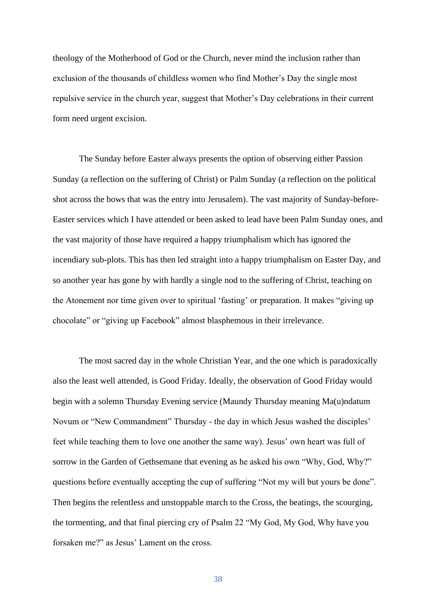theology of the Motherhood of God or the Church, never mind the inclusion rather than exclusion of the thousands of childless women who find Mother's Day the single most repulsive service in the church year, suggest that Mother's Day celebrations in their current form need urgent excision.

The Sunday before Easter always presents the option of observing either Passion Sunday (a reflection on the suffering of Christ) or Palm Sunday (a reflection on the political shot across the bows that was the entry into Jerusalem). The vast majority of Sunday-before-Easter services which I have attended or been asked to lead have been Palm Sunday ones, and the vast majority of those have required a happy triumphalism which has ignored the incendiary sub-plots. This has then led straight into a happy triumphalism on Easter Day, and so another year has gone by with hardly a single nod to the suffering of Christ, teaching on the Atonement nor time given over to spiritual 'fasting' or preparation. It makes "giving up chocolate" or "giving up Facebook" almost blasphemous in their irrelevance.

The most sacred day in the whole Christian Year, and the one which is paradoxically also the least well attended, is Good Friday. Ideally, the observation of Good Friday would begin with a solemn Thursday Evening service (Maundy Thursday meaning Ma(u)ndatum Novum or "New Commandment" Thursday - the day in which Jesus washed the disciples' feet while teaching them to love one another the same way). Jesus' own heart was full of sorrow in the Garden of Gethsemane that evening as he asked his own "Why, God, Why?" questions before eventually accepting the cup of suffering "Not my will but yours be done". Then begins the relentless and unstoppable march to the Cross, the beatings, the scourging, the tormenting, and that final piercing cry of Psalm 22 "My God, My God, Why have you forsaken me?" as Jesus' Lament on the cross.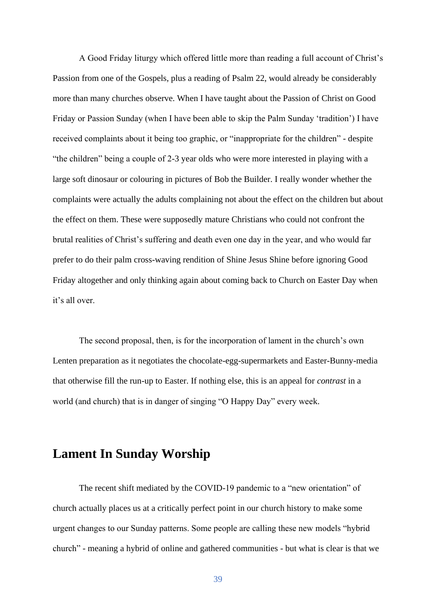A Good Friday liturgy which offered little more than reading a full account of Christ's Passion from one of the Gospels, plus a reading of Psalm 22, would already be considerably more than many churches observe. When I have taught about the Passion of Christ on Good Friday or Passion Sunday (when I have been able to skip the Palm Sunday 'tradition') I have received complaints about it being too graphic, or "inappropriate for the children" - despite "the children" being a couple of 2-3 year olds who were more interested in playing with a large soft dinosaur or colouring in pictures of Bob the Builder. I really wonder whether the complaints were actually the adults complaining not about the effect on the children but about the effect on them. These were supposedly mature Christians who could not confront the brutal realities of Christ's suffering and death even one day in the year, and who would far prefer to do their palm cross-waving rendition of Shine Jesus Shine before ignoring Good Friday altogether and only thinking again about coming back to Church on Easter Day when it's all over.

The second proposal, then, is for the incorporation of lament in the church's own Lenten preparation as it negotiates the chocolate-egg-supermarkets and Easter-Bunny-media that otherwise fill the run-up to Easter. If nothing else, this is an appeal for *contrast* in a world (and church) that is in danger of singing "O Happy Day" every week.

### **Lament In Sunday Worship**

The recent shift mediated by the COVID-19 pandemic to a "new orientation" of church actually places us at a critically perfect point in our church history to make some urgent changes to our Sunday patterns. Some people are calling these new models "hybrid church" - meaning a hybrid of online and gathered communities - but what is clear is that we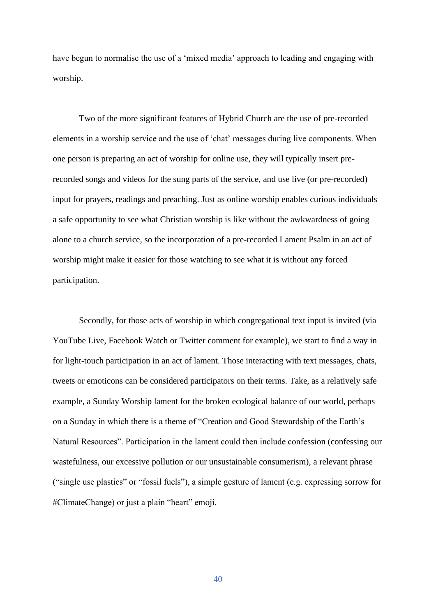have begun to normalise the use of a 'mixed media' approach to leading and engaging with worship.

Two of the more significant features of Hybrid Church are the use of pre-recorded elements in a worship service and the use of 'chat' messages during live components. When one person is preparing an act of worship for online use, they will typically insert prerecorded songs and videos for the sung parts of the service, and use live (or pre-recorded) input for prayers, readings and preaching. Just as online worship enables curious individuals a safe opportunity to see what Christian worship is like without the awkwardness of going alone to a church service, so the incorporation of a pre-recorded Lament Psalm in an act of worship might make it easier for those watching to see what it is without any forced participation.

Secondly, for those acts of worship in which congregational text input is invited (via YouTube Live, Facebook Watch or Twitter comment for example), we start to find a way in for light-touch participation in an act of lament. Those interacting with text messages, chats, tweets or emoticons can be considered participators on their terms. Take, as a relatively safe example, a Sunday Worship lament for the broken ecological balance of our world, perhaps on a Sunday in which there is a theme of "Creation and Good Stewardship of the Earth's Natural Resources". Participation in the lament could then include confession (confessing our wastefulness, our excessive pollution or our unsustainable consumerism), a relevant phrase ("single use plastics" or "fossil fuels"), a simple gesture of lament (e.g. expressing sorrow for #ClimateChange) or just a plain "heart" emoji.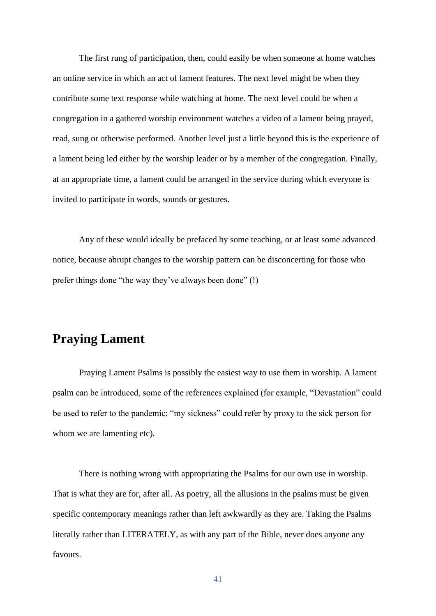The first rung of participation, then, could easily be when someone at home watches an online service in which an act of lament features. The next level might be when they contribute some text response while watching at home. The next level could be when a congregation in a gathered worship environment watches a video of a lament being prayed, read, sung or otherwise performed. Another level just a little beyond this is the experience of a lament being led either by the worship leader or by a member of the congregation. Finally, at an appropriate time, a lament could be arranged in the service during which everyone is invited to participate in words, sounds or gestures.

Any of these would ideally be prefaced by some teaching, or at least some advanced notice, because abrupt changes to the worship pattern can be disconcerting for those who prefer things done "the way they've always been done" (!)

### **Praying Lament**

Praying Lament Psalms is possibly the easiest way to use them in worship. A lament psalm can be introduced, some of the references explained (for example, "Devastation" could be used to refer to the pandemic; "my sickness" could refer by proxy to the sick person for whom we are lamenting etc).

There is nothing wrong with appropriating the Psalms for our own use in worship. That is what they are for, after all. As poetry, all the allusions in the psalms must be given specific contemporary meanings rather than left awkwardly as they are. Taking the Psalms literally rather than LITERATELY, as with any part of the Bible, never does anyone any favours.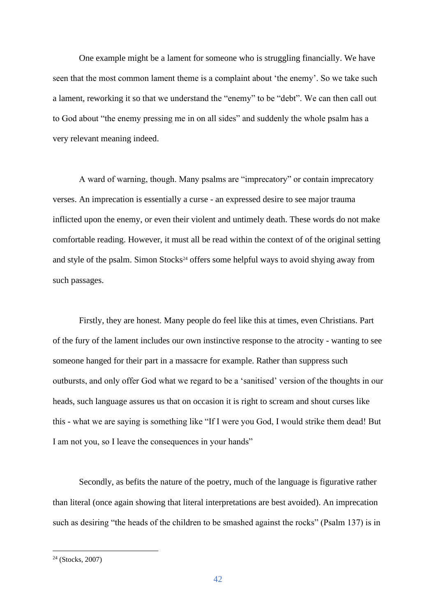One example might be a lament for someone who is struggling financially. We have seen that the most common lament theme is a complaint about 'the enemy'. So we take such a lament, reworking it so that we understand the "enemy" to be "debt". We can then call out to God about "the enemy pressing me in on all sides" and suddenly the whole psalm has a very relevant meaning indeed.

A ward of warning, though. Many psalms are "imprecatory" or contain imprecatory verses. An imprecation is essentially a curse - an expressed desire to see major trauma inflicted upon the enemy, or even their violent and untimely death. These words do not make comfortable reading. However, it must all be read within the context of of the original setting and style of the psalm. Simon Stocks<sup>24</sup> offers some helpful ways to avoid shying away from such passages.

Firstly, they are honest. Many people do feel like this at times, even Christians. Part of the fury of the lament includes our own instinctive response to the atrocity - wanting to see someone hanged for their part in a massacre for example. Rather than suppress such outbursts, and only offer God what we regard to be a 'sanitised' version of the thoughts in our heads, such language assures us that on occasion it is right to scream and shout curses like this - what we are saying is something like "If I were you God, I would strike them dead! But I am not you, so I leave the consequences in your hands"

Secondly, as befits the nature of the poetry, much of the language is figurative rather than literal (once again showing that literal interpretations are best avoided). An imprecation such as desiring "the heads of the children to be smashed against the rocks" (Psalm 137) is in

<sup>24</sup> (Stocks, 2007)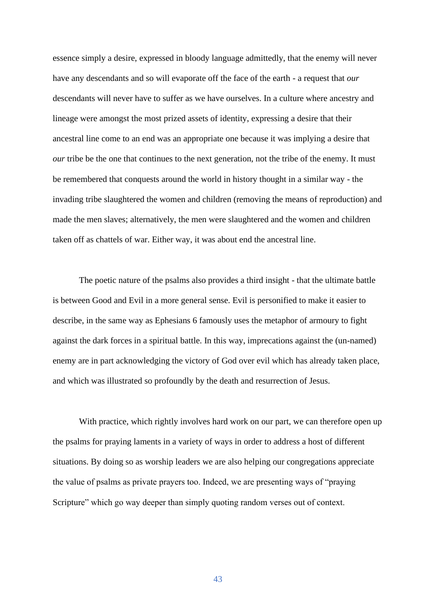essence simply a desire, expressed in bloody language admittedly, that the enemy will never have any descendants and so will evaporate off the face of the earth - a request that *our* descendants will never have to suffer as we have ourselves. In a culture where ancestry and lineage were amongst the most prized assets of identity, expressing a desire that their ancestral line come to an end was an appropriate one because it was implying a desire that *our* tribe be the one that continues to the next generation, not the tribe of the enemy. It must be remembered that conquests around the world in history thought in a similar way - the invading tribe slaughtered the women and children (removing the means of reproduction) and made the men slaves; alternatively, the men were slaughtered and the women and children taken off as chattels of war. Either way, it was about end the ancestral line.

The poetic nature of the psalms also provides a third insight - that the ultimate battle is between Good and Evil in a more general sense. Evil is personified to make it easier to describe, in the same way as Ephesians 6 famously uses the metaphor of armoury to fight against the dark forces in a spiritual battle. In this way, imprecations against the (un-named) enemy are in part acknowledging the victory of God over evil which has already taken place, and which was illustrated so profoundly by the death and resurrection of Jesus.

With practice, which rightly involves hard work on our part, we can therefore open up the psalms for praying laments in a variety of ways in order to address a host of different situations. By doing so as worship leaders we are also helping our congregations appreciate the value of psalms as private prayers too. Indeed, we are presenting ways of "praying Scripture" which go way deeper than simply quoting random verses out of context.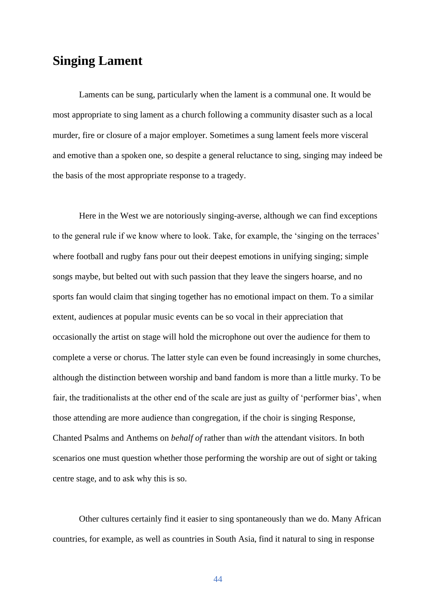### **Singing Lament**

Laments can be sung, particularly when the lament is a communal one. It would be most appropriate to sing lament as a church following a community disaster such as a local murder, fire or closure of a major employer. Sometimes a sung lament feels more visceral and emotive than a spoken one, so despite a general reluctance to sing, singing may indeed be the basis of the most appropriate response to a tragedy.

Here in the West we are notoriously singing-averse, although we can find exceptions to the general rule if we know where to look. Take, for example, the 'singing on the terraces' where football and rugby fans pour out their deepest emotions in unifying singing; simple songs maybe, but belted out with such passion that they leave the singers hoarse, and no sports fan would claim that singing together has no emotional impact on them. To a similar extent, audiences at popular music events can be so vocal in their appreciation that occasionally the artist on stage will hold the microphone out over the audience for them to complete a verse or chorus. The latter style can even be found increasingly in some churches, although the distinction between worship and band fandom is more than a little murky. To be fair, the traditionalists at the other end of the scale are just as guilty of 'performer bias', when those attending are more audience than congregation, if the choir is singing Response, Chanted Psalms and Anthems on *behalf of* rather than *with* the attendant visitors. In both scenarios one must question whether those performing the worship are out of sight or taking centre stage, and to ask why this is so.

Other cultures certainly find it easier to sing spontaneously than we do. Many African countries, for example, as well as countries in South Asia, find it natural to sing in response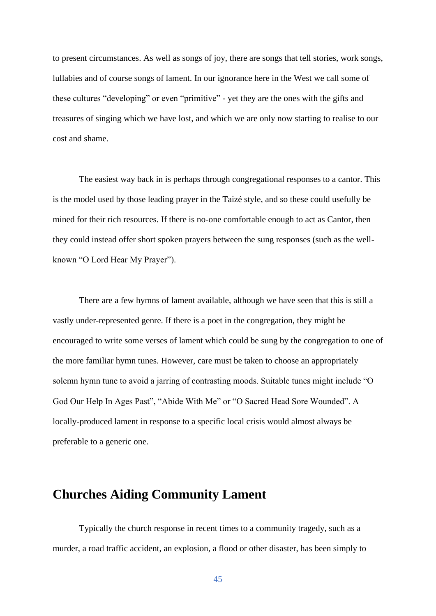to present circumstances. As well as songs of joy, there are songs that tell stories, work songs, lullabies and of course songs of lament. In our ignorance here in the West we call some of these cultures "developing" or even "primitive" - yet they are the ones with the gifts and treasures of singing which we have lost, and which we are only now starting to realise to our cost and shame.

The easiest way back in is perhaps through congregational responses to a cantor. This is the model used by those leading prayer in the Taizé style, and so these could usefully be mined for their rich resources. If there is no-one comfortable enough to act as Cantor, then they could instead offer short spoken prayers between the sung responses (such as the wellknown "O Lord Hear My Prayer").

There are a few hymns of lament available, although we have seen that this is still a vastly under-represented genre. If there is a poet in the congregation, they might be encouraged to write some verses of lament which could be sung by the congregation to one of the more familiar hymn tunes. However, care must be taken to choose an appropriately solemn hymn tune to avoid a jarring of contrasting moods. Suitable tunes might include "O God Our Help In Ages Past", "Abide With Me" or "O Sacred Head Sore Wounded". A locally-produced lament in response to a specific local crisis would almost always be preferable to a generic one.

### **Churches Aiding Community Lament**

Typically the church response in recent times to a community tragedy, such as a murder, a road traffic accident, an explosion, a flood or other disaster, has been simply to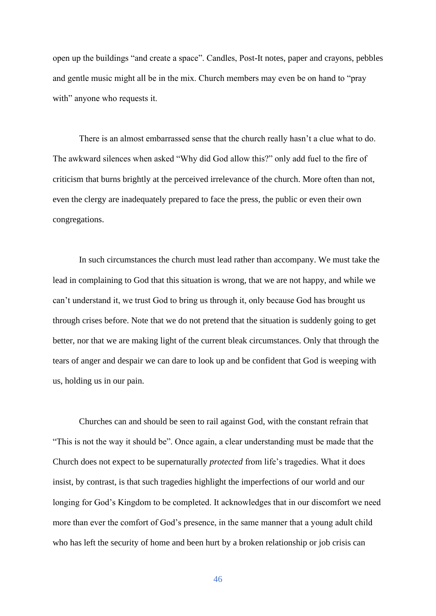open up the buildings "and create a space". Candles, Post-It notes, paper and crayons, pebbles and gentle music might all be in the mix. Church members may even be on hand to "pray with" anyone who requests it.

There is an almost embarrassed sense that the church really hasn't a clue what to do. The awkward silences when asked "Why did God allow this?" only add fuel to the fire of criticism that burns brightly at the perceived irrelevance of the church. More often than not, even the clergy are inadequately prepared to face the press, the public or even their own congregations.

In such circumstances the church must lead rather than accompany. We must take the lead in complaining to God that this situation is wrong, that we are not happy, and while we can't understand it, we trust God to bring us through it, only because God has brought us through crises before. Note that we do not pretend that the situation is suddenly going to get better, nor that we are making light of the current bleak circumstances. Only that through the tears of anger and despair we can dare to look up and be confident that God is weeping with us, holding us in our pain.

Churches can and should be seen to rail against God, with the constant refrain that "This is not the way it should be". Once again, a clear understanding must be made that the Church does not expect to be supernaturally *protected* from life's tragedies. What it does insist, by contrast, is that such tragedies highlight the imperfections of our world and our longing for God's Kingdom to be completed. It acknowledges that in our discomfort we need more than ever the comfort of God's presence, in the same manner that a young adult child who has left the security of home and been hurt by a broken relationship or job crisis can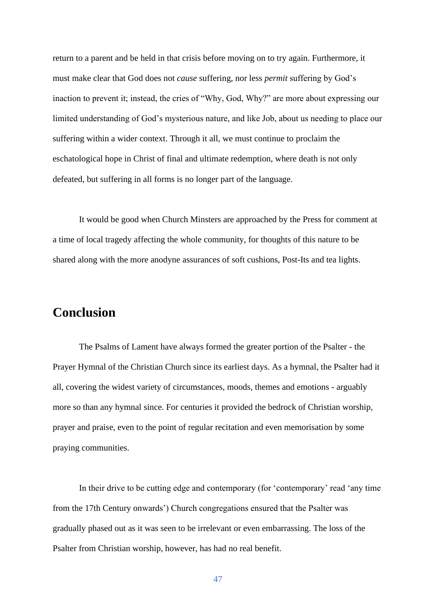return to a parent and be held in that crisis before moving on to try again. Furthermore, it must make clear that God does not *cause* suffering, nor less *permit* suffering by God's inaction to prevent it; instead, the cries of "Why, God, Why?" are more about expressing our limited understanding of God's mysterious nature, and like Job, about us needing to place our suffering within a wider context. Through it all, we must continue to proclaim the eschatological hope in Christ of final and ultimate redemption, where death is not only defeated, but suffering in all forms is no longer part of the language.

It would be good when Church Minsters are approached by the Press for comment at a time of local tragedy affecting the whole community, for thoughts of this nature to be shared along with the more anodyne assurances of soft cushions, Post-Its and tea lights.

### **Conclusion**

The Psalms of Lament have always formed the greater portion of the Psalter - the Prayer Hymnal of the Christian Church since its earliest days. As a hymnal, the Psalter had it all, covering the widest variety of circumstances, moods, themes and emotions - arguably more so than any hymnal since. For centuries it provided the bedrock of Christian worship, prayer and praise, even to the point of regular recitation and even memorisation by some praying communities.

In their drive to be cutting edge and contemporary (for 'contemporary' read 'any time from the 17th Century onwards') Church congregations ensured that the Psalter was gradually phased out as it was seen to be irrelevant or even embarrassing. The loss of the Psalter from Christian worship, however, has had no real benefit.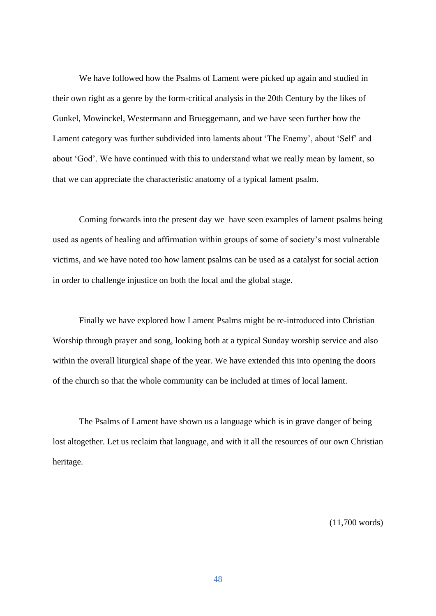We have followed how the Psalms of Lament were picked up again and studied in their own right as a genre by the form-critical analysis in the 20th Century by the likes of Gunkel, Mowinckel, Westermann and Brueggemann, and we have seen further how the Lament category was further subdivided into laments about 'The Enemy', about 'Self' and about 'God'. We have continued with this to understand what we really mean by lament, so that we can appreciate the characteristic anatomy of a typical lament psalm.

Coming forwards into the present day we have seen examples of lament psalms being used as agents of healing and affirmation within groups of some of society's most vulnerable victims, and we have noted too how lament psalms can be used as a catalyst for social action in order to challenge injustice on both the local and the global stage.

Finally we have explored how Lament Psalms might be re-introduced into Christian Worship through prayer and song, looking both at a typical Sunday worship service and also within the overall liturgical shape of the year. We have extended this into opening the doors of the church so that the whole community can be included at times of local lament.

The Psalms of Lament have shown us a language which is in grave danger of being lost altogether. Let us reclaim that language, and with it all the resources of our own Christian heritage.

(11,700 words)